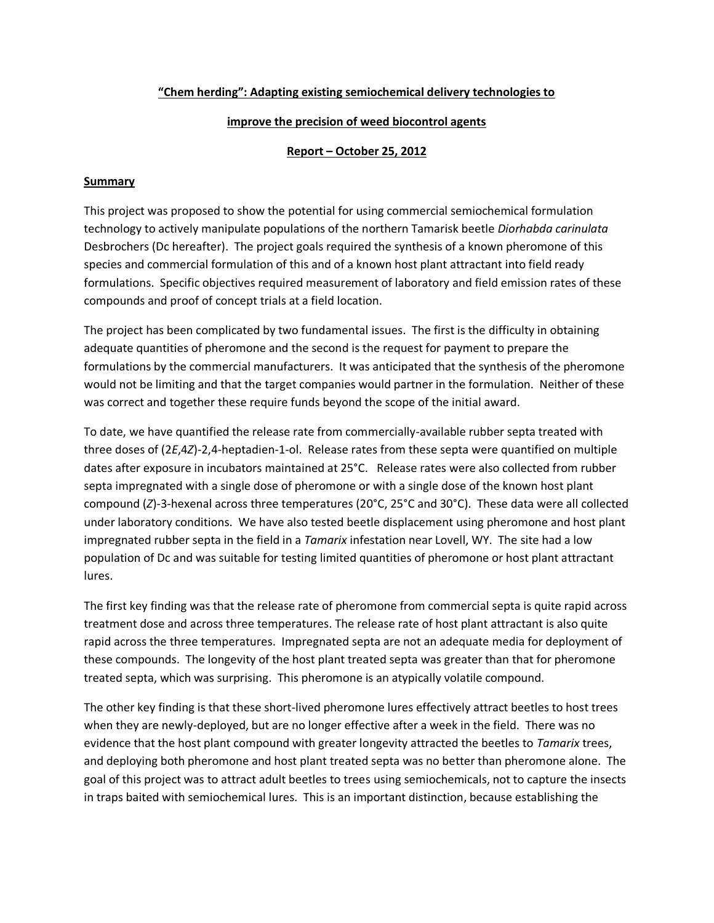# **"Chem herding": Adapting existing semiochemical delivery technologies to**

# **improve the precision of weed biocontrol agents**

# **Report – October 25, 2012**

# **Summary**

This project was proposed to show the potential for using commercial semiochemical formulation technology to actively manipulate populations of the northern Tamarisk beetle *Diorhabda carinulata*  Desbrochers (Dc hereafter). The project goals required the synthesis of a known pheromone of this species and commercial formulation of this and of a known host plant attractant into field ready formulations. Specific objectives required measurement of laboratory and field emission rates of these compounds and proof of concept trials at a field location.

The project has been complicated by two fundamental issues. The first is the difficulty in obtaining adequate quantities of pheromone and the second is the request for payment to prepare the formulations by the commercial manufacturers. It was anticipated that the synthesis of the pheromone would not be limiting and that the target companies would partner in the formulation. Neither of these was correct and together these require funds beyond the scope of the initial award.

To date, we have quantified the release rate from commercially-available rubber septa treated with three doses of (2*E*,4*Z*)-2,4-heptadien-1-ol. Release rates from these septa were quantified on multiple dates after exposure in incubators maintained at 25°C. Release rates were also collected from rubber septa impregnated with a single dose of pheromone or with a single dose of the known host plant compound (*Z*)-3-hexenal across three temperatures (20°C, 25°C and 30°C). These data were all collected under laboratory conditions. We have also tested beetle displacement using pheromone and host plant impregnated rubber septa in the field in a *Tamarix* infestation near Lovell, WY. The site had a low population of Dc and was suitable for testing limited quantities of pheromone or host plant attractant lures.

The first key finding was that the release rate of pheromone from commercial septa is quite rapid across treatment dose and across three temperatures. The release rate of host plant attractant is also quite rapid across the three temperatures. Impregnated septa are not an adequate media for deployment of these compounds. The longevity of the host plant treated septa was greater than that for pheromone treated septa, which was surprising. This pheromone is an atypically volatile compound.

The other key finding is that these short-lived pheromone lures effectively attract beetles to host trees when they are newly-deployed, but are no longer effective after a week in the field. There was no evidence that the host plant compound with greater longevity attracted the beetles to *Tamarix* trees, and deploying both pheromone and host plant treated septa was no better than pheromone alone. The goal of this project was to attract adult beetles to trees using semiochemicals, not to capture the insects in traps baited with semiochemical lures. This is an important distinction, because establishing the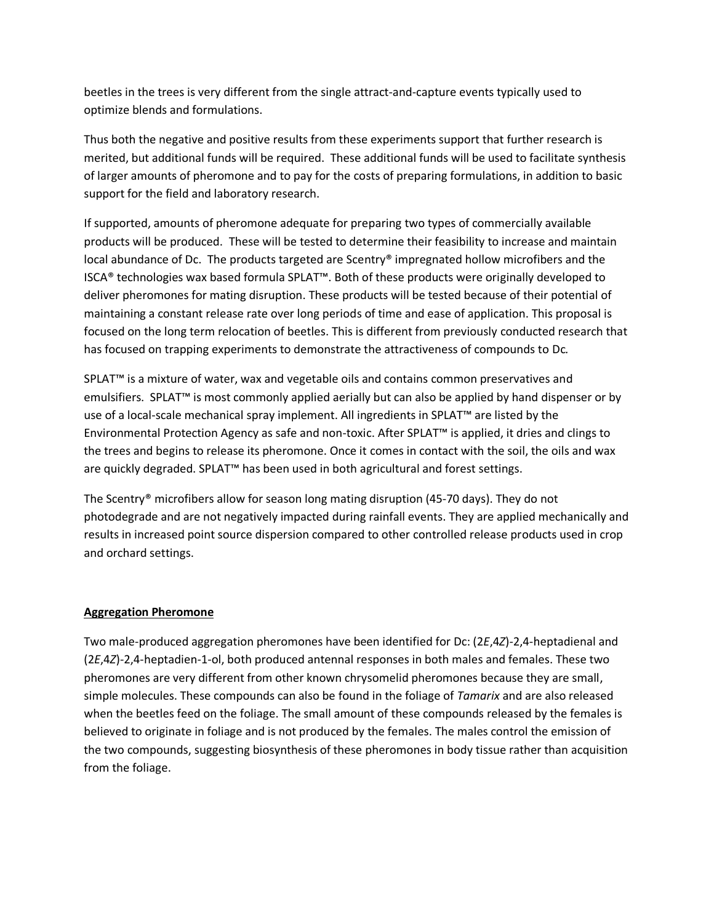beetles in the trees is very different from the single attract-and-capture events typically used to optimize blends and formulations.

Thus both the negative and positive results from these experiments support that further research is merited, but additional funds will be required. These additional funds will be used to facilitate synthesis of larger amounts of pheromone and to pay for the costs of preparing formulations, in addition to basic support for the field and laboratory research.

If supported, amounts of pheromone adequate for preparing two types of commercially available products will be produced. These will be tested to determine their feasibility to increase and maintain local abundance of Dc. The products targeted are Scentry® impregnated hollow microfibers and the ISCA® technologies wax based formula SPLAT™. Both of these products were originally developed to deliver pheromones for mating disruption. These products will be tested because of their potential of maintaining a constant release rate over long periods of time and ease of application. This proposal is focused on the long term relocation of beetles. This is different from previously conducted research that has focused on trapping experiments to demonstrate the attractiveness of compounds to Dc*.*

SPLAT™ is a mixture of water, wax and vegetable oils and contains common preservatives and emulsifiers. SPLAT™ is most commonly applied aerially but can also be applied by hand dispenser or by use of a local-scale mechanical spray implement. All ingredients in SPLAT™ are listed by the Environmental Protection Agency as safe and non-toxic. After SPLAT™ is applied, it dries and clings to the trees and begins to release its pheromone. Once it comes in contact with the soil, the oils and wax are quickly degraded. SPLAT™ has been used in both agricultural and forest settings.

The Scentry® microfibers allow for season long mating disruption (45-70 days). They do not photodegrade and are not negatively impacted during rainfall events. They are applied mechanically and results in increased point source dispersion compared to other controlled release products used in crop and orchard settings.

## **Aggregation Pheromone**

Two male-produced aggregation pheromones have been identified for Dc: (2*E*,4*Z*)-2,4-heptadienal and (2*E*,4*Z*)-2,4-heptadien-1-ol, both produced antennal responses in both males and females. These two pheromones are very different from other known chrysomelid pheromones because they are small, simple molecules. These compounds can also be found in the foliage of *Tamarix* and are also released when the beetles feed on the foliage. The small amount of these compounds released by the females is believed to originate in foliage and is not produced by the females. The males control the emission of the two compounds, suggesting biosynthesis of these pheromones in body tissue rather than acquisition from the foliage.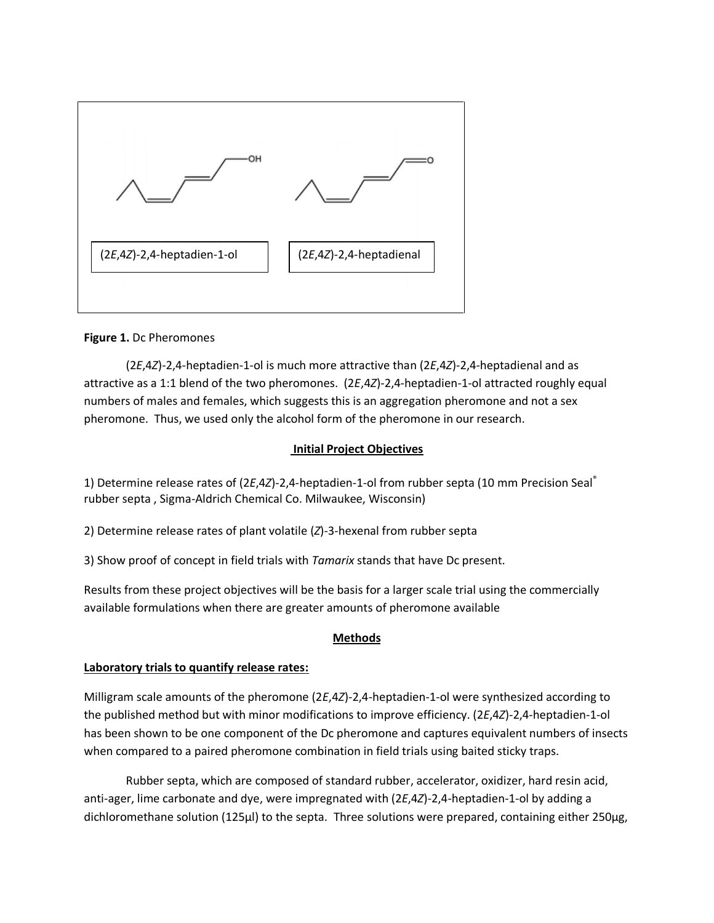

### **Figure 1.** Dc Pheromones

(2*E*,4*Z*)-2,4-heptadien-1-ol is much more attractive than (2*E*,4*Z*)-2,4-heptadienal and as attractive as a 1:1 blend of the two pheromones. (2*E*,4*Z*)-2,4-heptadien-1-ol attracted roughly equal numbers of males and females, which suggests this is an aggregation pheromone and not a sex pheromone. Thus, we used only the alcohol form of the pheromone in our research.

## **Initial Project Objectives**

1) Determine release rates of (2*E*,4*Z*)-2,4-heptadien-1-ol from rubber septa (10 mm Precision Seal® rubber septa , Sigma-Aldrich Chemical Co. Milwaukee, Wisconsin)

2) Determine release rates of plant volatile (*Z*)-3-hexenal from rubber septa

3) Show proof of concept in field trials with *Tamarix* stands that have Dc present.

Results from these project objectives will be the basis for a larger scale trial using the commercially available formulations when there are greater amounts of pheromone available

#### **Methods**

#### **Laboratory trials to quantify release rates:**

Milligram scale amounts of the pheromone (2*E*,4*Z*)-2,4-heptadien-1-ol were synthesized according to the published method but with minor modifications to improve efficiency. (2*E*,4*Z*)-2,4-heptadien-1-ol has been shown to be one component of the Dc pheromone and captures equivalent numbers of insects when compared to a paired pheromone combination in field trials using baited sticky traps.

Rubber septa, which are composed of standard rubber, accelerator, oxidizer, hard resin acid, anti-ager, lime carbonate and dye, were impregnated with (2*E*,4*Z*)-2,4-heptadien-1-ol by adding a dichloromethane solution (125µl) to the septa. Three solutions were prepared, containing either 250µg,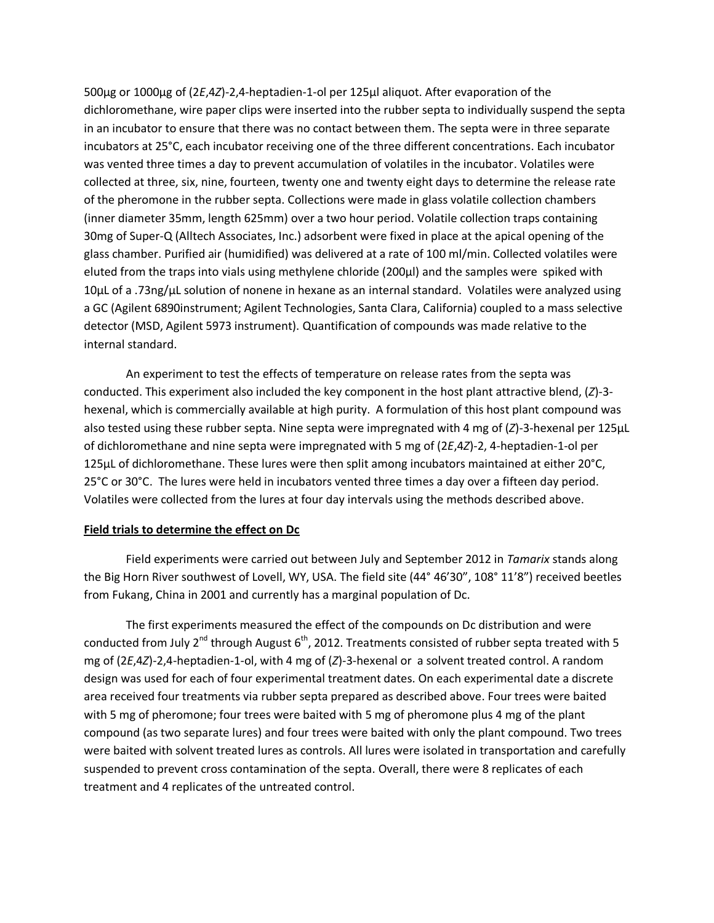500µg or 1000µg of (2*E*,4*Z*)-2,4-heptadien-1-ol per 125µl aliquot. After evaporation of the dichloromethane, wire paper clips were inserted into the rubber septa to individually suspend the septa in an incubator to ensure that there was no contact between them. The septa were in three separate incubators at 25°C, each incubator receiving one of the three different concentrations. Each incubator was vented three times a day to prevent accumulation of volatiles in the incubator. Volatiles were collected at three, six, nine, fourteen, twenty one and twenty eight days to determine the release rate of the pheromone in the rubber septa. Collections were made in glass volatile collection chambers (inner diameter 35mm, length 625mm) over a two hour period. Volatile collection traps containing 30mg of Super-Q (Alltech Associates, Inc.) adsorbent were fixed in place at the apical opening of the glass chamber. Purified air (humidified) was delivered at a rate of 100 ml/min. Collected volatiles were eluted from the traps into vials using methylene chloride (200µl) and the samples were spiked with  $10\mu$ L of a .73ng/ $\mu$ L solution of nonene in hexane as an internal standard. Volatiles were analyzed using a GC (Agilent 6890instrument; Agilent Technologies, Santa Clara, California) coupled to a mass selective detector (MSD, Agilent 5973 instrument). Quantification of compounds was made relative to the internal standard.

An experiment to test the effects of temperature on release rates from the septa was conducted. This experiment also included the key component in the host plant attractive blend, (*Z*)-3 hexenal, which is commercially available at high purity. A formulation of this host plant compound was also tested using these rubber septa. Nine septa were impregnated with 4 mg of (*Z*)-3-hexenal per 125µL of dichloromethane and nine septa were impregnated with 5 mg of (2*E*,4*Z*)-2, 4-heptadien-1-ol per 125µL of dichloromethane. These lures were then split among incubators maintained at either 20°C, 25°C or 30°C. The lures were held in incubators vented three times a day over a fifteen day period. Volatiles were collected from the lures at four day intervals using the methods described above.

#### **Field trials to determine the effect on Dc**

Field experiments were carried out between July and September 2012 in *Tamarix* stands along the Big Horn River southwest of Lovell, WY, USA. The field site (44° 46'30", 108° 11'8") received beetles from Fukang, China in 2001 and currently has a marginal population of Dc.

The first experiments measured the effect of the compounds on Dc distribution and were conducted from July 2<sup>nd</sup> through August 6<sup>th</sup>, 2012. Treatments consisted of rubber septa treated with 5 mg of (2*E*,4*Z*)-2,4-heptadien-1-ol, with 4 mg of (*Z*)-3-hexenal or a solvent treated control. A random design was used for each of four experimental treatment dates. On each experimental date a discrete area received four treatments via rubber septa prepared as described above. Four trees were baited with 5 mg of pheromone; four trees were baited with 5 mg of pheromone plus 4 mg of the plant compound (as two separate lures) and four trees were baited with only the plant compound. Two trees were baited with solvent treated lures as controls. All lures were isolated in transportation and carefully suspended to prevent cross contamination of the septa. Overall, there were 8 replicates of each treatment and 4 replicates of the untreated control.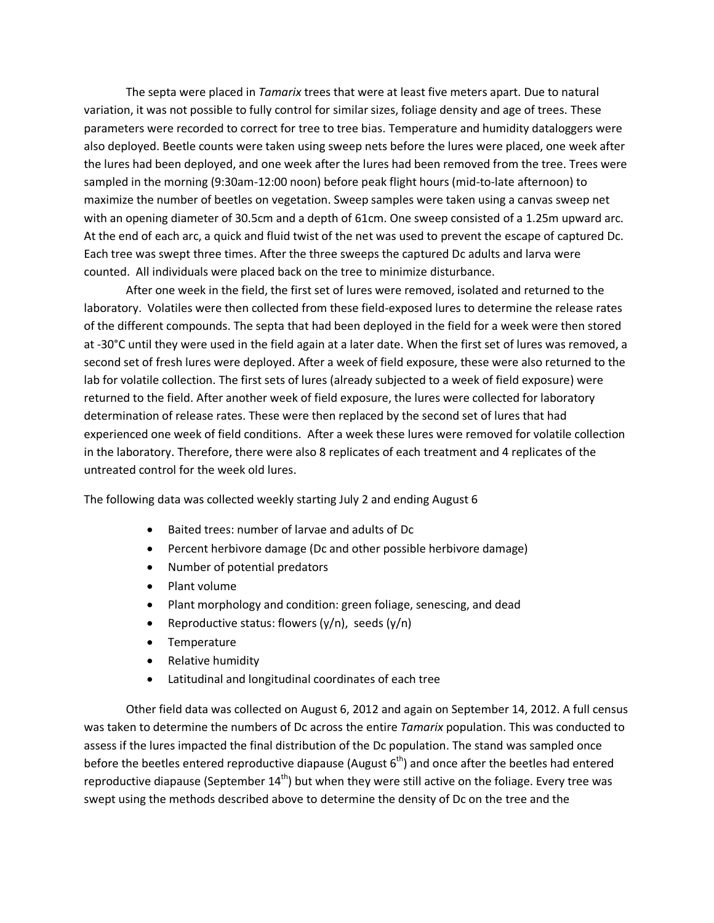The septa were placed in *Tamarix* trees that were at least five meters apart. Due to natural variation, it was not possible to fully control for similar sizes, foliage density and age of trees. These parameters were recorded to correct for tree to tree bias. Temperature and humidity dataloggers were also deployed. Beetle counts were taken using sweep nets before the lures were placed, one week after the lures had been deployed, and one week after the lures had been removed from the tree. Trees were sampled in the morning (9:30am-12:00 noon) before peak flight hours (mid-to-late afternoon) to maximize the number of beetles on vegetation. Sweep samples were taken using a canvas sweep net with an opening diameter of 30.5cm and a depth of 61cm. One sweep consisted of a 1.25m upward arc. At the end of each arc, a quick and fluid twist of the net was used to prevent the escape of captured Dc. Each tree was swept three times. After the three sweeps the captured Dc adults and larva were counted. All individuals were placed back on the tree to minimize disturbance.

After one week in the field, the first set of lures were removed, isolated and returned to the laboratory. Volatiles were then collected from these field-exposed lures to determine the release rates of the different compounds. The septa that had been deployed in the field for a week were then stored at -30°C until they were used in the field again at a later date. When the first set of lures was removed, a second set of fresh lures were deployed. After a week of field exposure, these were also returned to the lab for volatile collection. The first sets of lures (already subjected to a week of field exposure) were returned to the field. After another week of field exposure, the lures were collected for laboratory determination of release rates. These were then replaced by the second set of lures that had experienced one week of field conditions. After a week these lures were removed for volatile collection in the laboratory. Therefore, there were also 8 replicates of each treatment and 4 replicates of the untreated control for the week old lures.

The following data was collected weekly starting July 2 and ending August 6

- Baited trees: number of larvae and adults of Dc
- Percent herbivore damage (Dc and other possible herbivore damage)
- Number of potential predators
- Plant volume
- Plant morphology and condition: green foliage, senescing, and dead
- Reproductive status: flowers  $(y/n)$ , seeds  $(y/n)$
- Temperature
- Relative humidity
- Latitudinal and longitudinal coordinates of each tree

Other field data was collected on August 6, 2012 and again on September 14, 2012. A full census was taken to determine the numbers of Dc across the entire *Tamarix* population. This was conducted to assess if the lures impacted the final distribution of the Dc population. The stand was sampled once before the beetles entered reproductive diapause (August  $6<sup>th</sup>$ ) and once after the beetles had entered reproductive diapause (September  $14<sup>th</sup>$ ) but when they were still active on the foliage. Every tree was swept using the methods described above to determine the density of Dc on the tree and the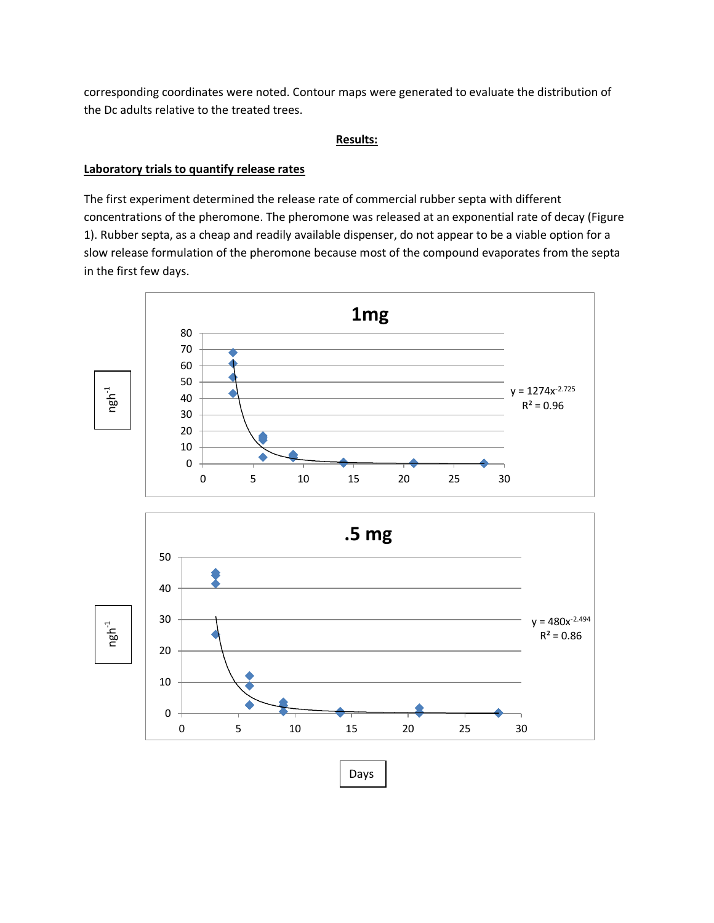corresponding coordinates were noted. Contour maps were generated to evaluate the distribution of the Dc adults relative to the treated trees.

### **Results:**

### **Laboratory trials to quantify release rates**

The first experiment determined the release rate of commercial rubber septa with different concentrations of the pheromone. The pheromone was released at an exponential rate of decay (Figure 1). Rubber septa, as a cheap and readily available dispenser, do not appear to be a viable option for a slow release formulation of the pheromone because most of the compound evaporates from the septa in the first few days.



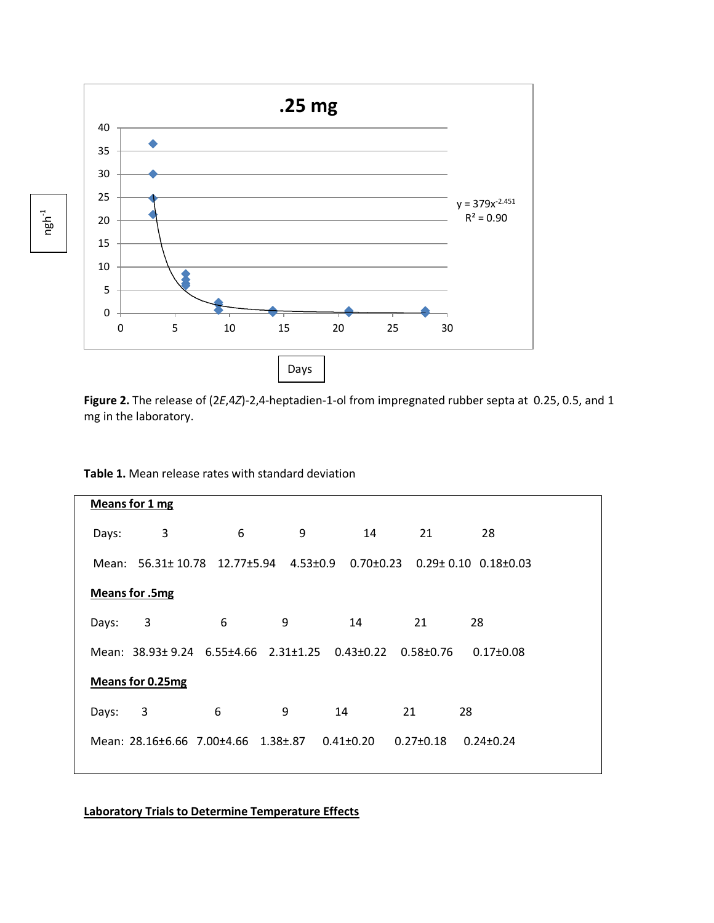

**Figure 2.** The release of (2*E*,4*Z*)-2,4-heptadien-1-ol from impregnated rubber septa at 0.25, 0.5, and 1 mg in the laboratory.

| Means for 1 mg |                         |                                                                        |                |                 |                 |                                 |  |  |  |  |  |
|----------------|-------------------------|------------------------------------------------------------------------|----------------|-----------------|-----------------|---------------------------------|--|--|--|--|--|
|                |                         |                                                                        |                |                 |                 |                                 |  |  |  |  |  |
| Days:          | 3                       | 6                                                                      | 9              | 14              | 21              | 28                              |  |  |  |  |  |
|                |                         |                                                                        |                |                 |                 |                                 |  |  |  |  |  |
| Mean:          |                         | 56.31± 10.78 12.77±5.94                                                | $4.53 \pm 0.9$ | $0.70 \pm 0.23$ |                 | $0.29 \pm 0.10$ $0.18 \pm 0.03$ |  |  |  |  |  |
|                |                         |                                                                        |                |                 |                 |                                 |  |  |  |  |  |
|                | <b>Means for .5mg</b>   |                                                                        |                |                 |                 |                                 |  |  |  |  |  |
|                |                         |                                                                        |                |                 |                 |                                 |  |  |  |  |  |
| Days:          | 3                       | 6                                                                      | 9              | 14              | 21              | 28                              |  |  |  |  |  |
|                |                         |                                                                        |                |                 |                 |                                 |  |  |  |  |  |
|                |                         | Mean: $38.93 \pm 9.24$ 6.55 $\pm 4.66$ 2.31 $\pm 1.25$ 0.43 $\pm 0.22$ |                |                 | $0.58 + 0.76$   | $0.17 \pm 0.08$                 |  |  |  |  |  |
|                |                         |                                                                        |                |                 |                 |                                 |  |  |  |  |  |
|                | <b>Means for 0.25mg</b> |                                                                        |                |                 |                 |                                 |  |  |  |  |  |
|                |                         |                                                                        |                |                 |                 |                                 |  |  |  |  |  |
| Days:          | 3                       | 6                                                                      | 9              | 14              | 21              | 28                              |  |  |  |  |  |
|                |                         |                                                                        |                |                 |                 |                                 |  |  |  |  |  |
|                |                         | Mean: 28.16±6.66 7.00±4.66 1.38±.87                                    |                | $0.41 \pm 0.20$ | $0.27 \pm 0.18$ | $0.24 \pm 0.24$                 |  |  |  |  |  |
|                |                         |                                                                        |                |                 |                 |                                 |  |  |  |  |  |
|                |                         |                                                                        |                |                 |                 |                                 |  |  |  |  |  |

**Table 1.** Mean release rates with standard deviation

**Laboratory Trials to Determine Temperature Effects**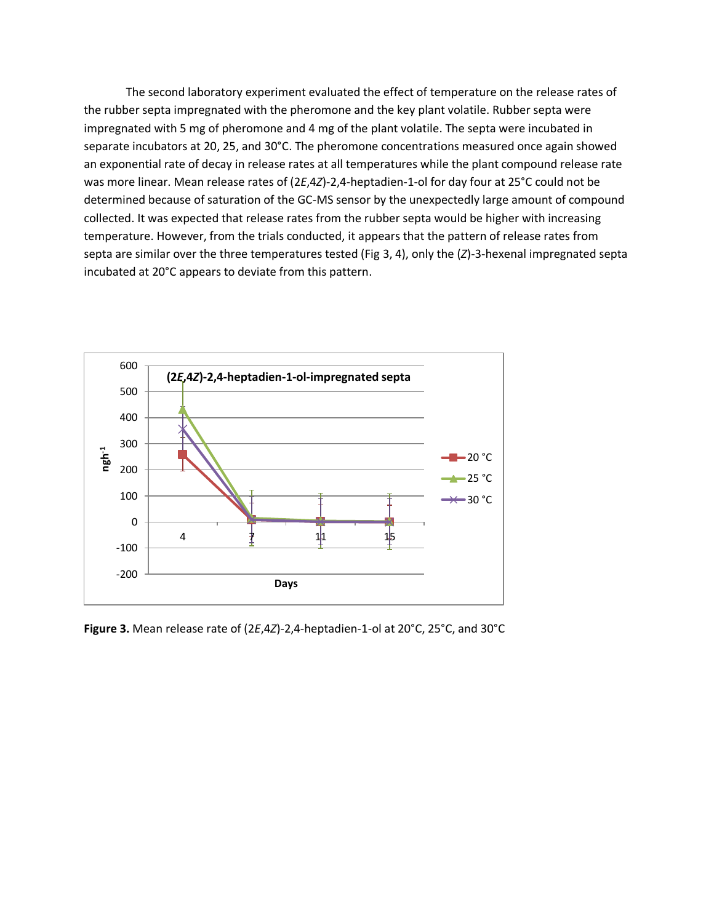The second laboratory experiment evaluated the effect of temperature on the release rates of the rubber septa impregnated with the pheromone and the key plant volatile. Rubber septa were impregnated with 5 mg of pheromone and 4 mg of the plant volatile. The septa were incubated in separate incubators at 20, 25, and 30°C. The pheromone concentrations measured once again showed an exponential rate of decay in release rates at all temperatures while the plant compound release rate was more linear. Mean release rates of (2*E*,4*Z*)-2,4-heptadien-1-ol for day four at 25°C could not be determined because of saturation of the GC-MS sensor by the unexpectedly large amount of compound collected. It was expected that release rates from the rubber septa would be higher with increasing temperature. However, from the trials conducted, it appears that the pattern of release rates from septa are similar over the three temperatures tested (Fig 3, 4), only the (*Z*)-3-hexenal impregnated septa incubated at 20°C appears to deviate from this pattern.



**Figure 3.** Mean release rate of (2*E*,4*Z*)-2,4-heptadien-1-ol at 20°C, 25°C, and 30°C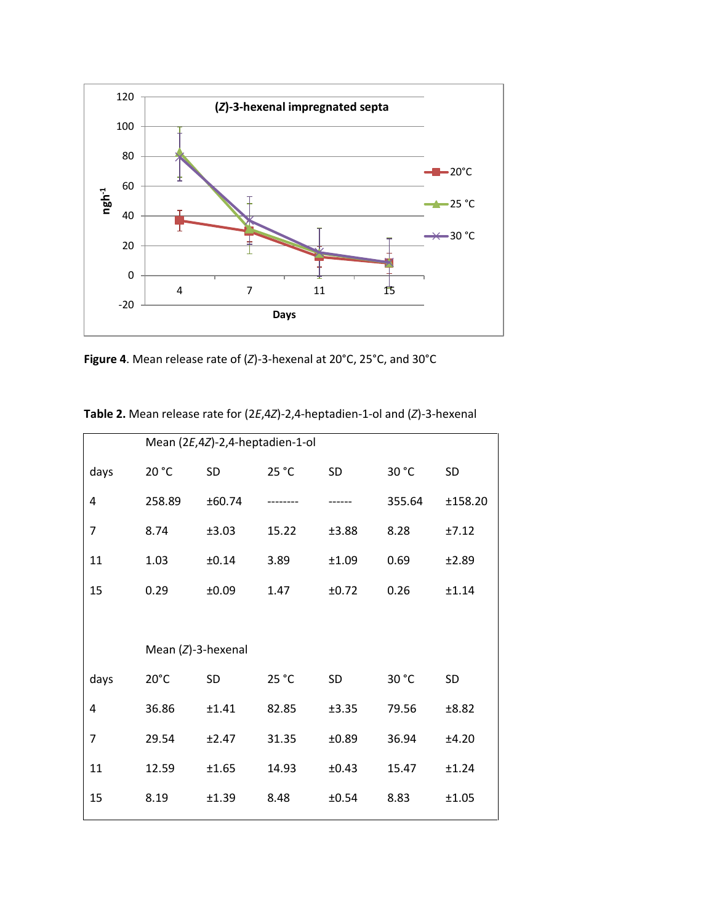

**Figure 4**. Mean release rate of (*Z*)-3-hexenal at 20°C, 25°C, and 30°C

|                | Mean (2E,4Z)-2,4-heptadien-1-ol |        |       |       |        |         |  |  |  |
|----------------|---------------------------------|--------|-------|-------|--------|---------|--|--|--|
| days           | 20 °C                           | SD     | 25 °C | SD    | 30 °C  | SD      |  |  |  |
| 4              | 258.89                          | ±60.74 |       |       | 355.64 | ±158.20 |  |  |  |
| $\overline{7}$ | 8.74                            | ±3.03  | 15.22 | ±3.88 | 8.28   | ±7.12   |  |  |  |
| 11             | 1.03                            | ±0.14  | 3.89  | ±1.09 | 0.69   | ±2.89   |  |  |  |
| 15             | 0.29                            | ±0.09  | 1.47  | ±0.72 | 0.26   | ±1.14   |  |  |  |
|                |                                 |        |       |       |        |         |  |  |  |
|                | Mean $(Z)$ -3-hexenal           |        |       |       |        |         |  |  |  |
|                |                                 |        |       |       |        |         |  |  |  |
| days           | $20^{\circ}$ C                  | SD     | 25 °C | SD    | 30 °C  | SD      |  |  |  |
| 4              | 36.86                           | ±1.41  | 82.85 | ±3.35 | 79.56  | ±8.82   |  |  |  |
| 7              | 29.54                           | ±2.47  | 31.35 | ±0.89 | 36.94  | ±4.20   |  |  |  |
| 11             | 12.59                           | ±1.65  | 14.93 | ±0.43 | 15.47  | ±1.24   |  |  |  |
| 15             | 8.19                            | ±1.39  | 8.48  | ±0.54 | 8.83   | ±1.05   |  |  |  |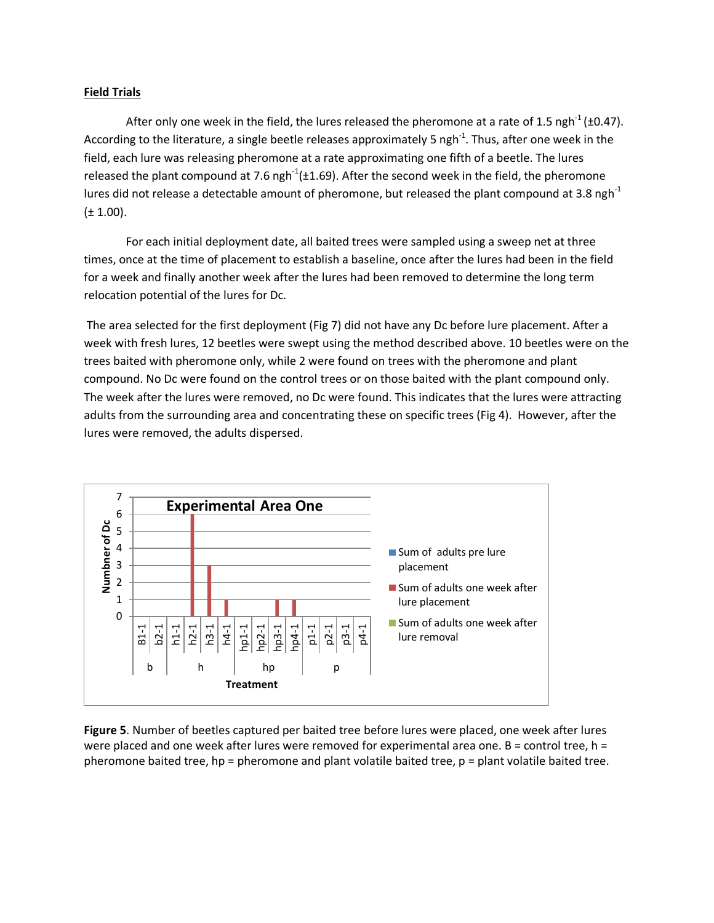### **Field Trials**

After only one week in the field, the lures released the pheromone at a rate of 1.5 ngh<sup>-1</sup> (±0.47). According to the literature, a single beetle releases approximately 5 ngh<sup>-1</sup>. Thus, after one week in the field, each lure was releasing pheromone at a rate approximating one fifth of a beetle. The lures released the plant compound at 7.6 ngh<sup>-1</sup>(±1.69). After the second week in the field, the pheromone lures did not release a detectable amount of pheromone, but released the plant compound at 3.8 ngh<sup>-1</sup>  $(\pm 1.00)$ .

For each initial deployment date, all baited trees were sampled using a sweep net at three times, once at the time of placement to establish a baseline, once after the lures had been in the field for a week and finally another week after the lures had been removed to determine the long term relocation potential of the lures for Dc.

The area selected for the first deployment (Fig 7) did not have any Dc before lure placement. After a week with fresh lures, 12 beetles were swept using the method described above. 10 beetles were on the trees baited with pheromone only, while 2 were found on trees with the pheromone and plant compound. No Dc were found on the control trees or on those baited with the plant compound only. The week after the lures were removed, no Dc were found. This indicates that the lures were attracting adults from the surrounding area and concentrating these on specific trees (Fig 4). However, after the lures were removed, the adults dispersed.



**Figure 5**. Number of beetles captured per baited tree before lures were placed, one week after lures were placed and one week after lures were removed for experimental area one.  $B =$  control tree,  $h =$ pheromone baited tree, hp = pheromone and plant volatile baited tree, p = plant volatile baited tree.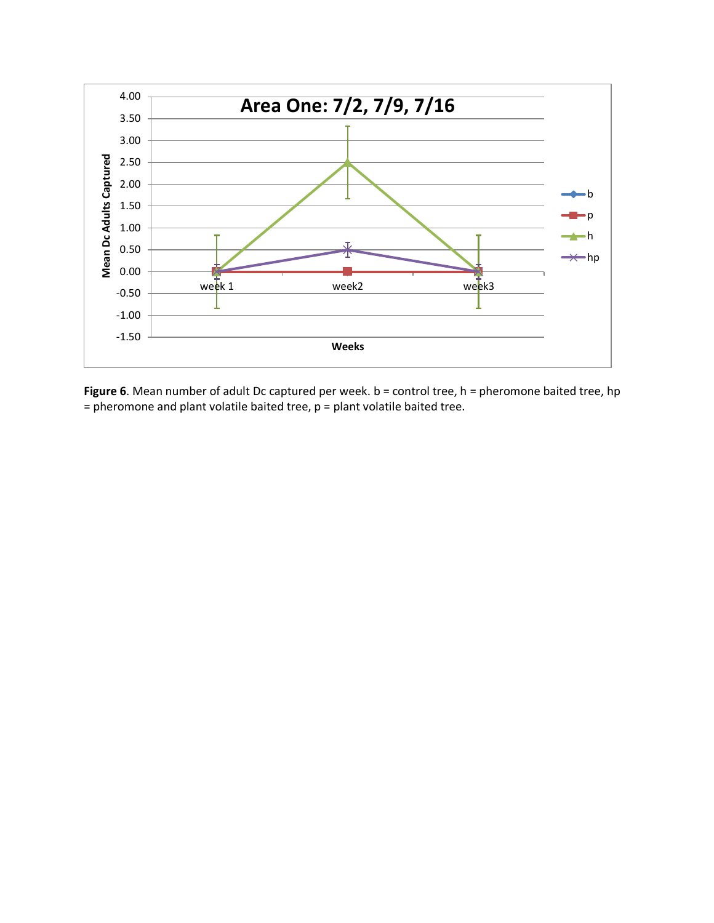

**Figure 6**. Mean number of adult Dc captured per week. b = control tree, h = pheromone baited tree, hp = pheromone and plant volatile baited tree, p = plant volatile baited tree.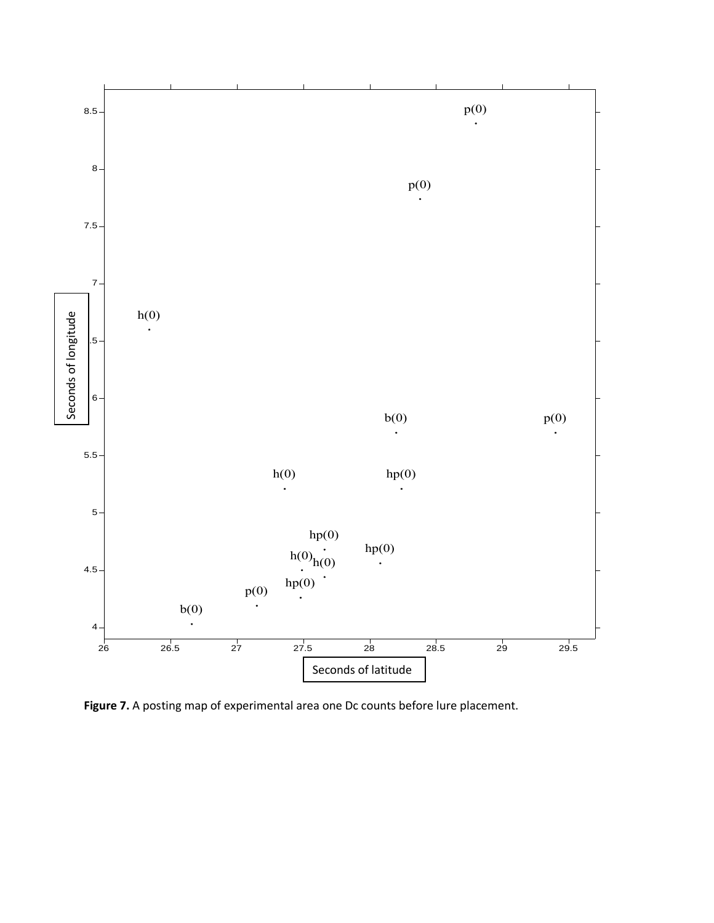

**Figure 7.** A posting map of experimental area one Dc counts before lure placement.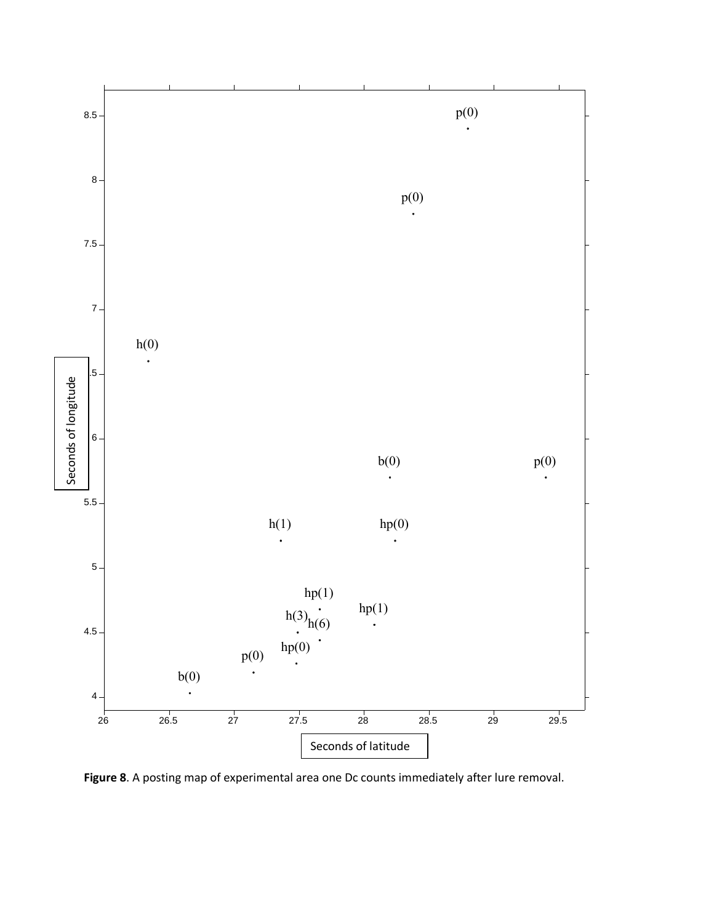

**Figure 8**. A posting map of experimental area one Dc counts immediately after lure removal.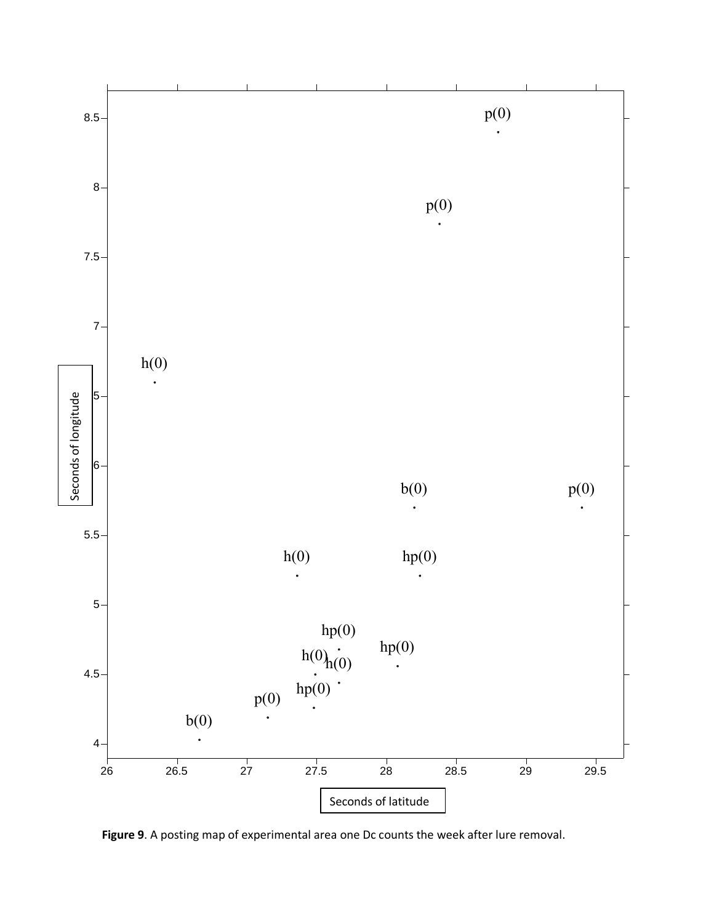

**Figure 9**. A posting map of experimental area one Dc counts the week after lure removal.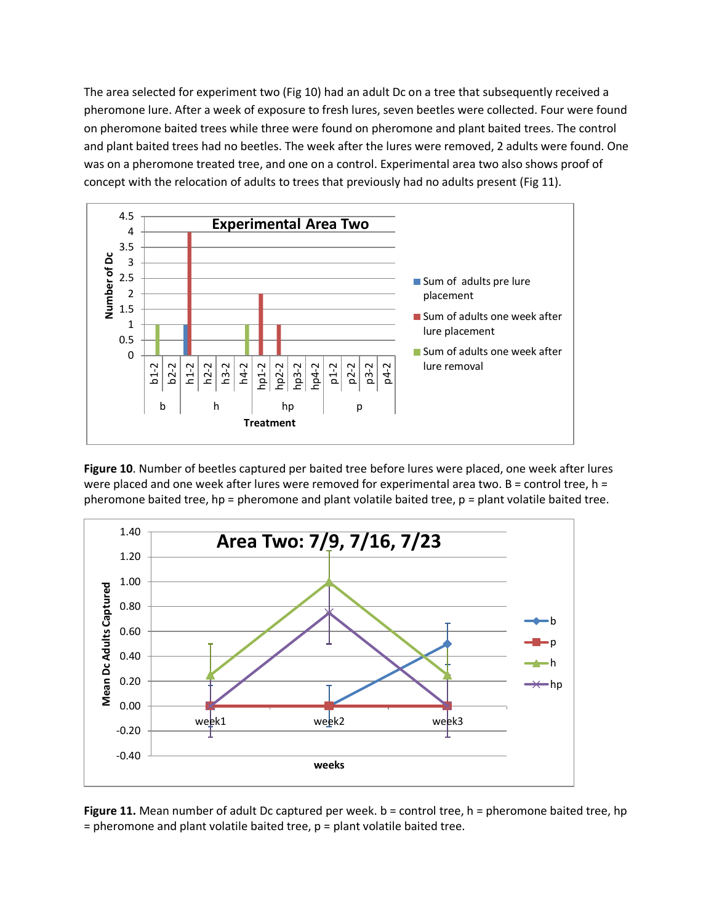The area selected for experiment two (Fig 10) had an adult Dc on a tree that subsequently received a pheromone lure. After a week of exposure to fresh lures, seven beetles were collected. Four were found on pheromone baited trees while three were found on pheromone and plant baited trees. The control and plant baited trees had no beetles. The week after the lures were removed, 2 adults were found. One was on a pheromone treated tree, and one on a control. Experimental area two also shows proof of concept with the relocation of adults to trees that previously had no adults present (Fig 11).



**Figure 10**. Number of beetles captured per baited tree before lures were placed, one week after lures were placed and one week after lures were removed for experimental area two.  $B =$  control tree,  $h =$ pheromone baited tree, hp = pheromone and plant volatile baited tree, p = plant volatile baited tree.



**Figure 11.** Mean number of adult Dc captured per week. b = control tree, h = pheromone baited tree, hp  $=$  pheromone and plant volatile baited tree,  $p =$  plant volatile baited tree.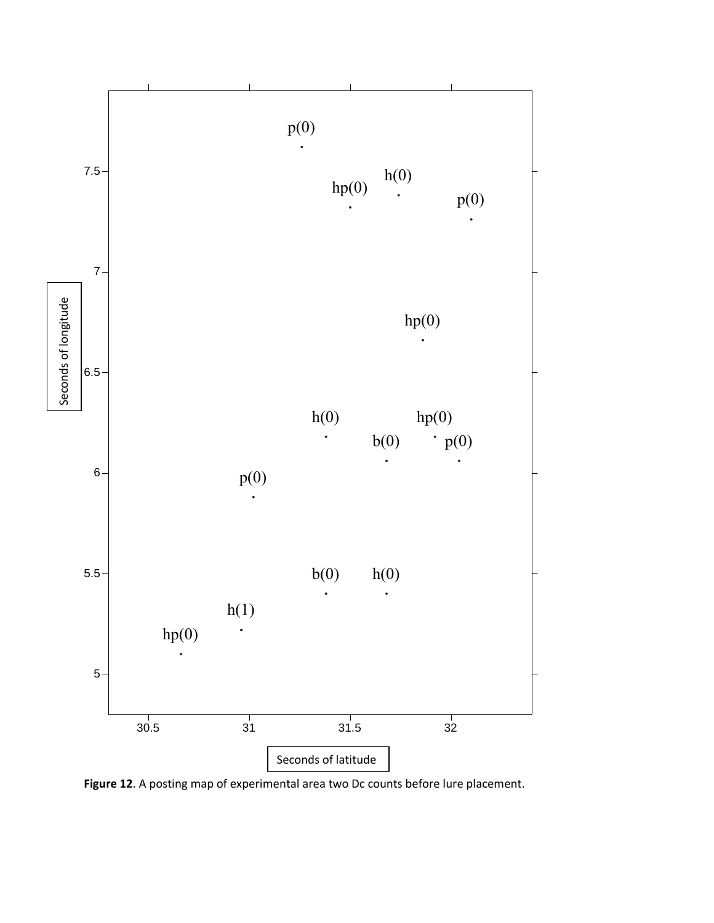

**Figure 12**. A posting map of experimental area two Dc counts before lure placement.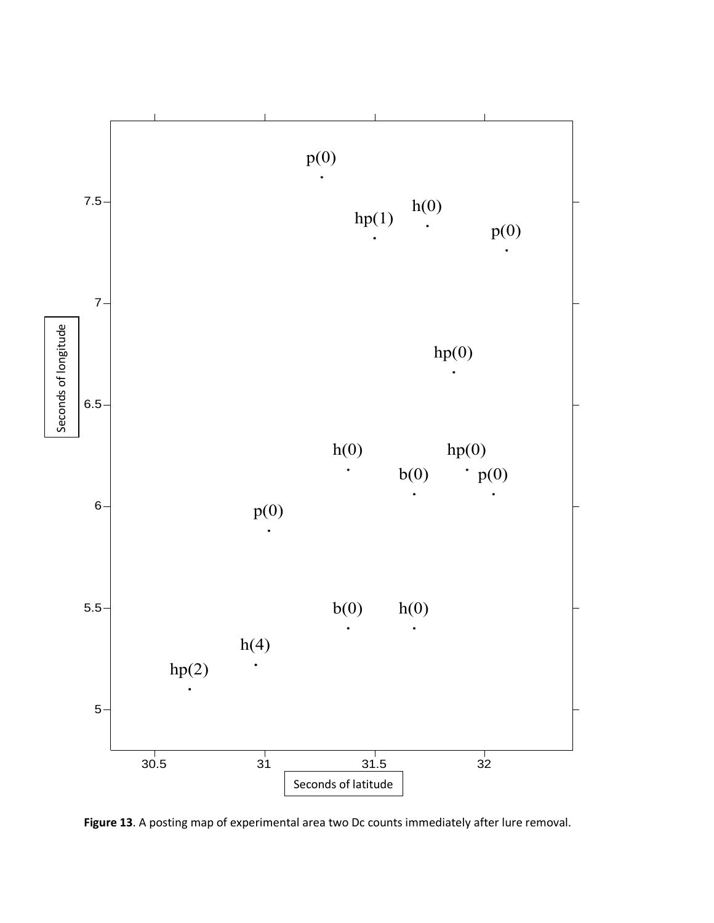

**Figure 13**. A posting map of experimental area two Dc counts immediately after lure removal.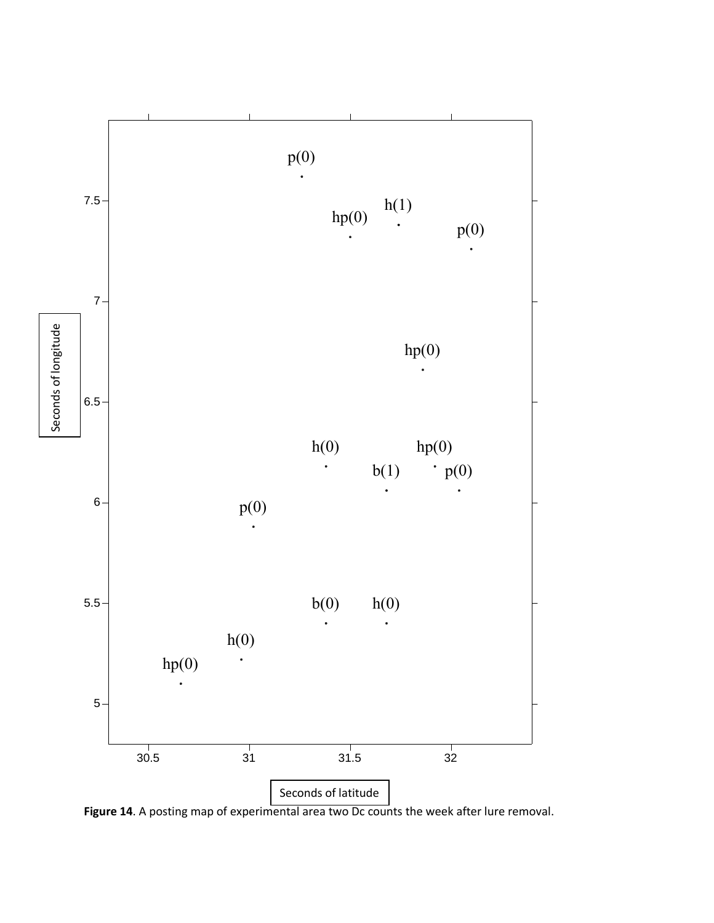

**Figure 14**. A posting map of experimental area two Dc counts the week after lure removal.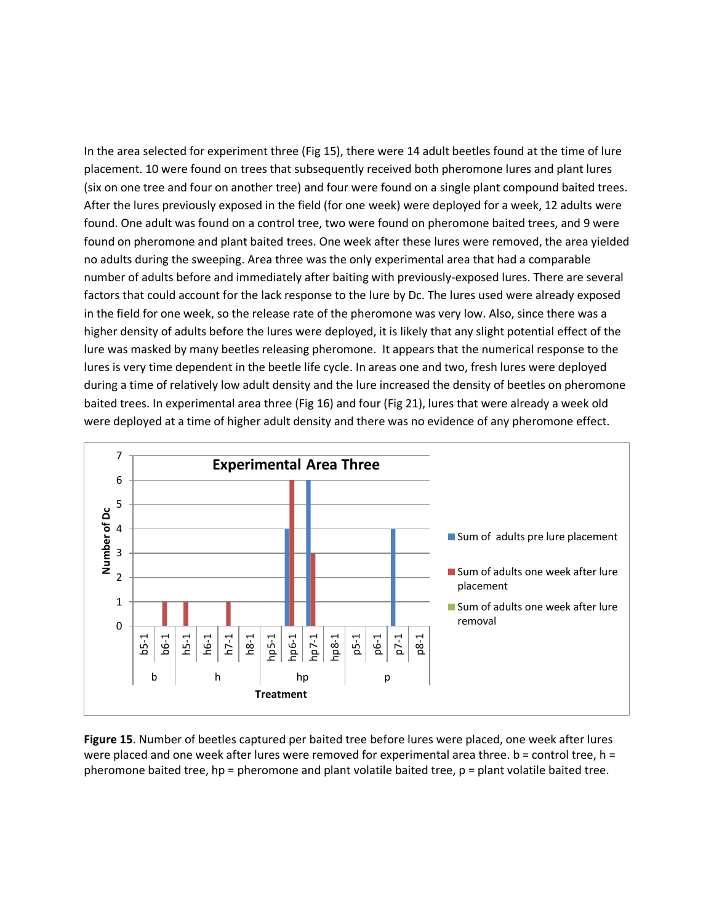In the area selected for experiment three (Fig 15), there were 14 adult beetles found at the time of lure placement. 10 were found on trees that subsequently received both pheromone lures and plant lures (six on one tree and four on another tree) and four were found on a single plant compound baited trees. After the lures previously exposed in the field (for one week) were deployed for a week, 12 adults were found. One adult was found on a control tree, two were found on pheromone baited trees, and 9 were found on pheromone and plant baited trees. One week after these lures were removed, the area yielded no adults during the sweeping. Area three was the only experimental area that had a comparable number of adults before and immediately after baiting with previously-exposed lures. There are several factors that could account for the lack response to the lure by Dc. The lures used were already exposed in the field for one week, so the release rate of the pheromone was very low. Also, since there was a higher density of adults before the lures were deployed, it is likely that any slight potential effect of the lure was masked by many beetles releasing pheromone. It appears that the numerical response to the lures is very time dependent in the beetle life cycle. In areas one and two, fresh lures were deployed during a time of relatively low adult density and the lure increased the density of beetles on pheromone baited trees. In experimental area three (Fig 16) and four (Fig 21), lures that were already a week old were deployed at a time of higher adult density and there was no evidence of any pheromone effect.



**Figure 15**. Number of beetles captured per baited tree before lures were placed, one week after lures were placed and one week after lures were removed for experimental area three.  $b =$  control tree,  $h =$ pheromone baited tree, hp = pheromone and plant volatile baited tree, p = plant volatile baited tree.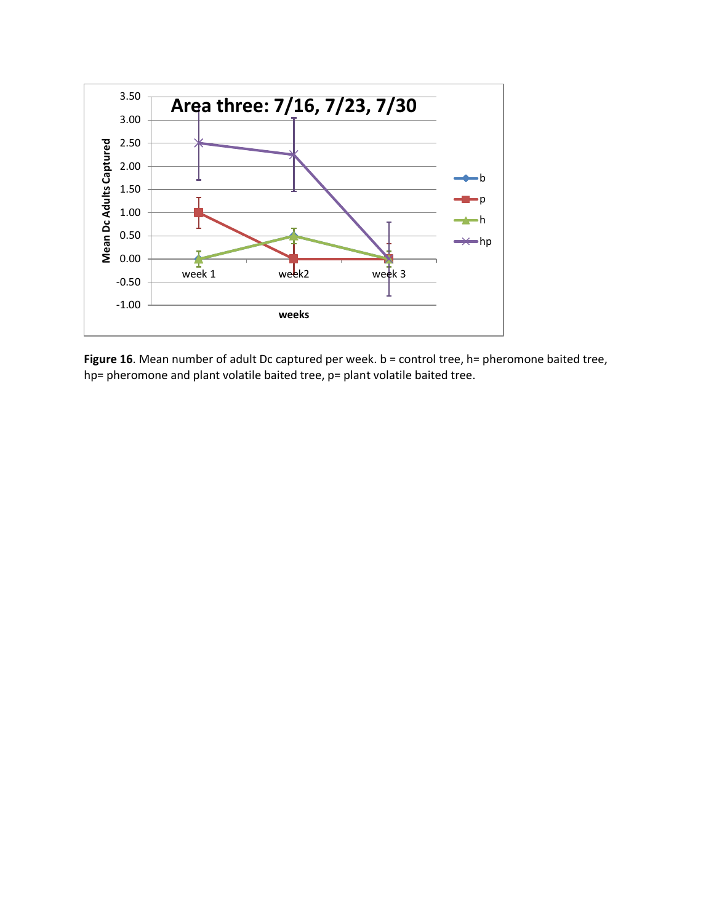

Figure 16. Mean number of adult Dc captured per week. b = control tree, h= pheromone baited tree, hp= pheromone and plant volatile baited tree, p= plant volatile baited tree.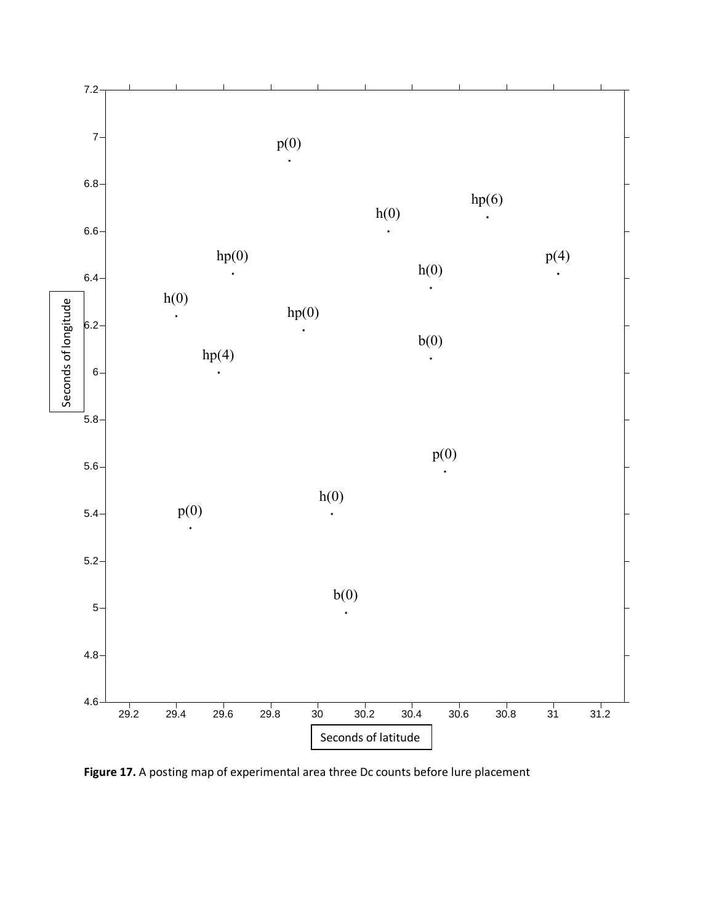

Figure 17. A posting map of experimental area three Dc counts before lure placement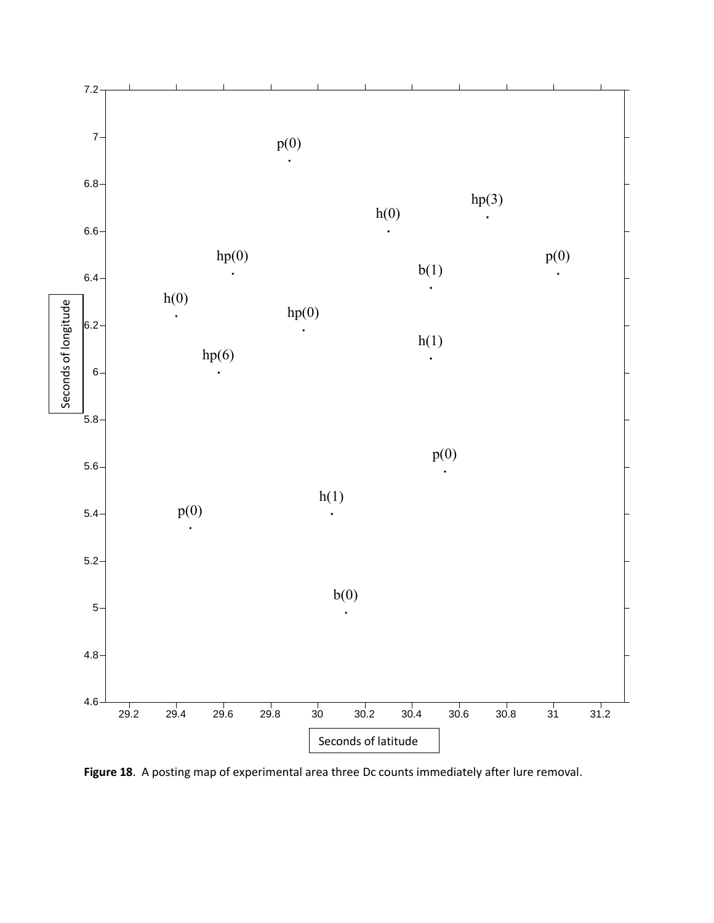

**Figure 18**. A posting map of experimental area three Dc counts immediately after lure removal.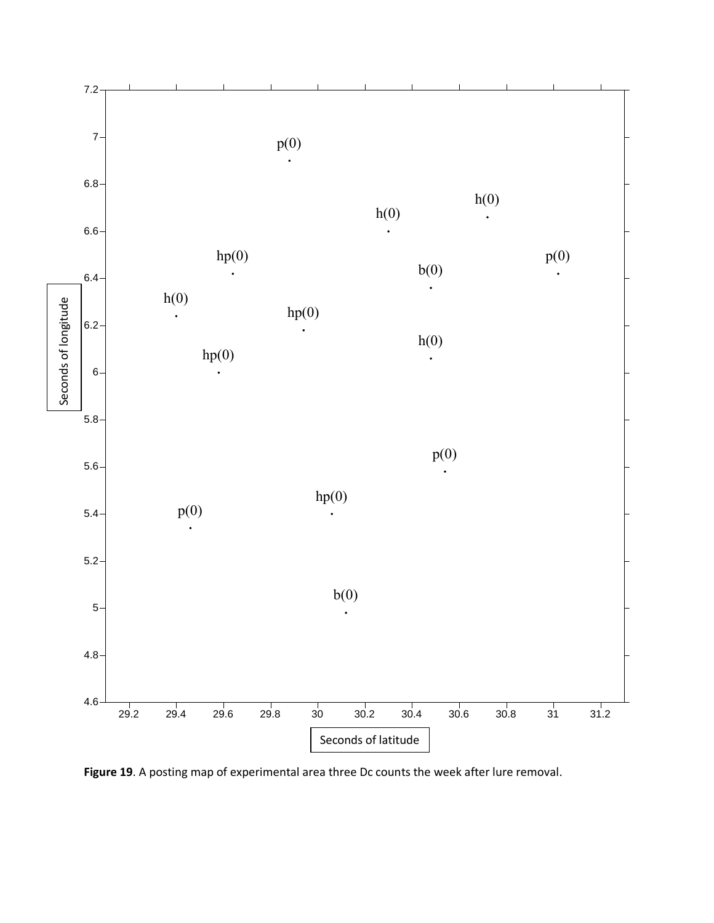

**Figure 19**. A posting map of experimental area three Dc counts the week after lure removal.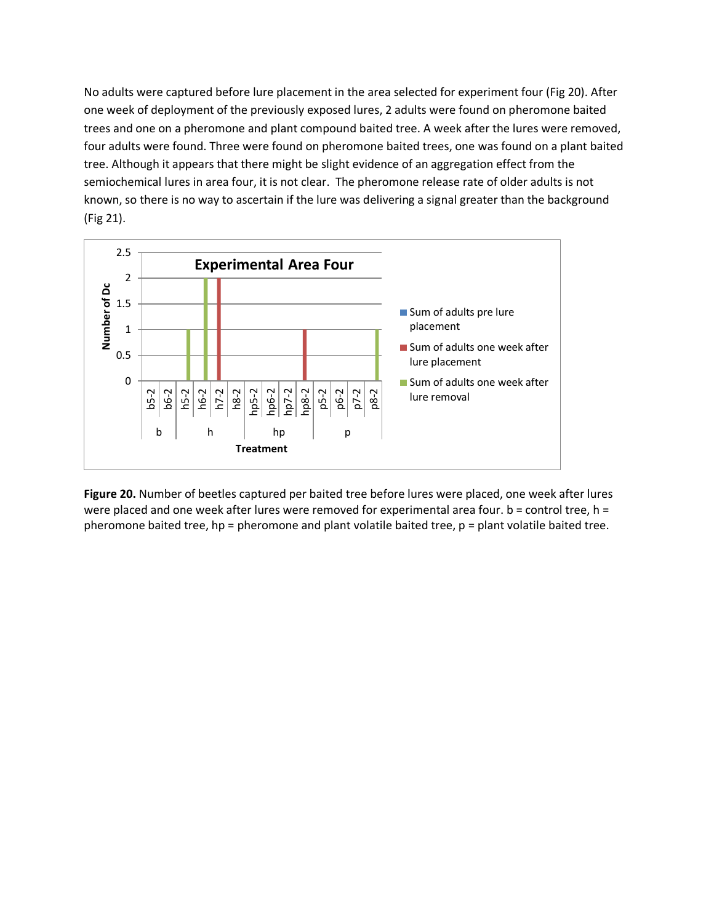No adults were captured before lure placement in the area selected for experiment four (Fig 20). After one week of deployment of the previously exposed lures, 2 adults were found on pheromone baited trees and one on a pheromone and plant compound baited tree. A week after the lures were removed, four adults were found. Three were found on pheromone baited trees, one was found on a plant baited tree. Although it appears that there might be slight evidence of an aggregation effect from the semiochemical lures in area four, it is not clear. The pheromone release rate of older adults is not known, so there is no way to ascertain if the lure was delivering a signal greater than the background (Fig 21).



**Figure 20.** Number of beetles captured per baited tree before lures were placed, one week after lures were placed and one week after lures were removed for experimental area four. b = control tree, h = pheromone baited tree, hp = pheromone and plant volatile baited tree, p = plant volatile baited tree.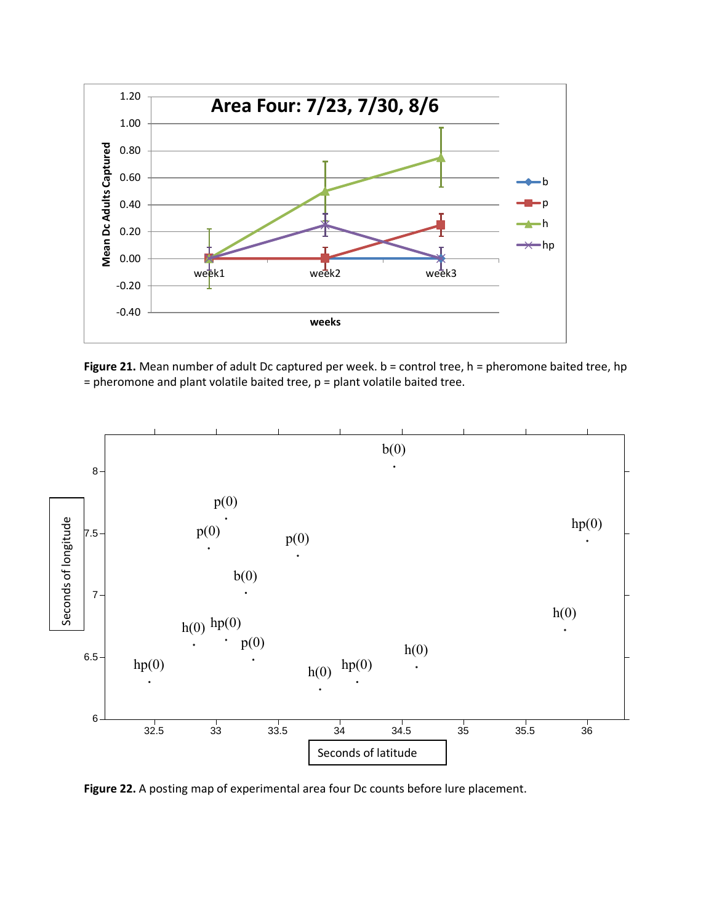





**Figure 22.** A posting map of experimental area four Dc counts before lure placement.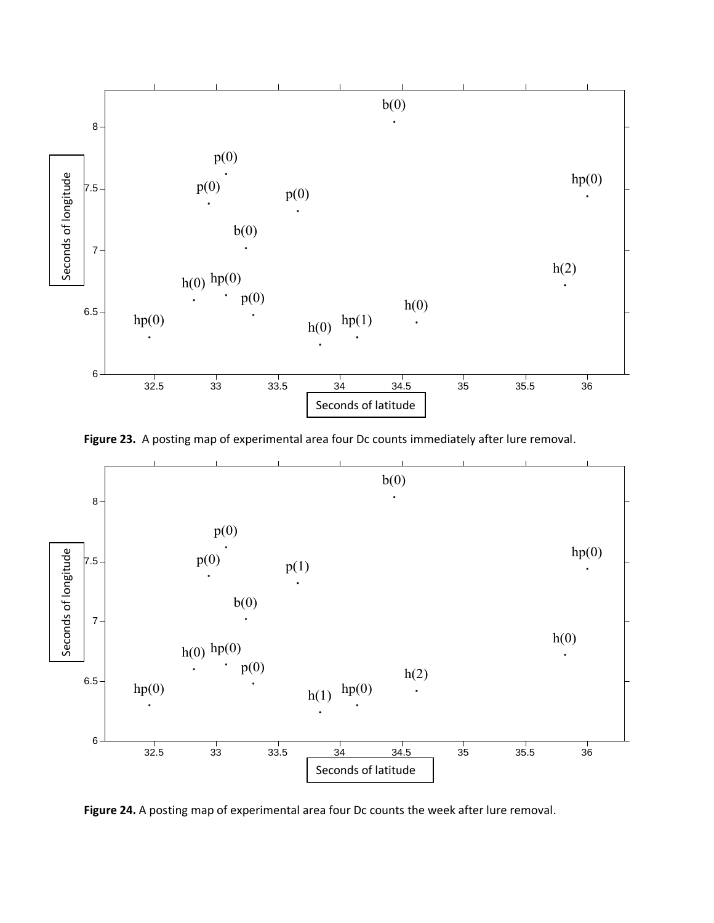

**Figure 23.** A posting map of experimental area four Dc counts immediately after lure removal.



**Figure 24.** A posting map of experimental area four Dc counts the week after lure removal.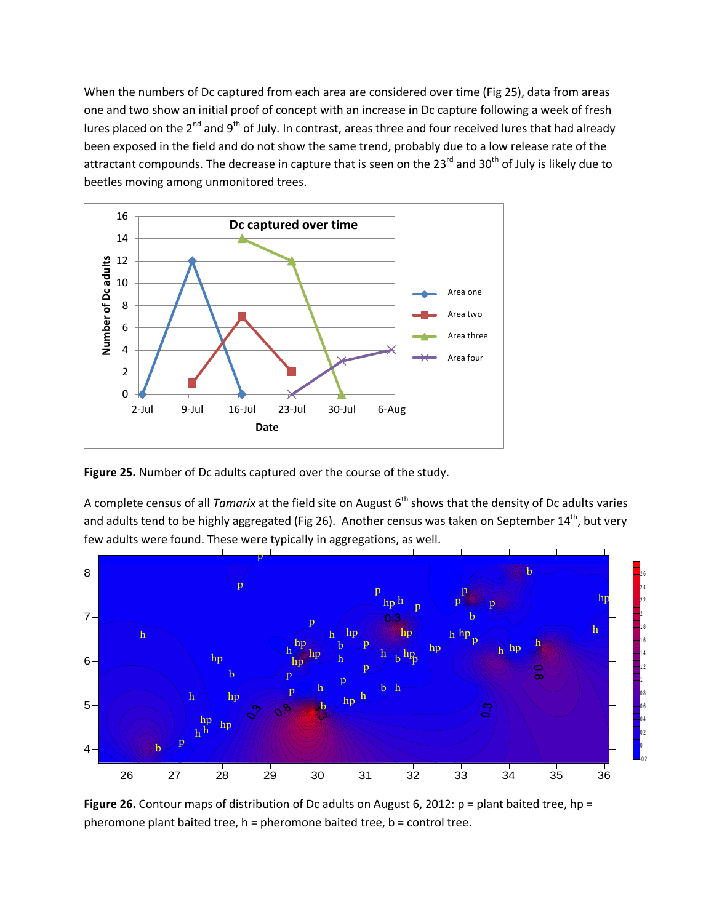When the numbers of Dc captured from each area are considered over time (Fig 25), data from areas one and two show an initial proof of concept with an increase in Dc capture following a week of fresh lures placed on the 2<sup>nd</sup> and 9<sup>th</sup> of July. In contrast, areas three and four received lures that had already been exposed in the field and do not show the same trend, probably due to a low release rate of the attractant compounds. The decrease in capture that is seen on the 23 $^{rd}$  and 30 $^{th}$  of July is likely due to beetles moving among unmonitored trees.



**Figure 25.** Number of Dc adults captured over the course of the study.

A complete census of all *Tamarix* at the field site on August 6<sup>th</sup> shows that the density of Dc adults varies and adults tend to be highly aggregated (Fig 26). Another census was taken on September 14<sup>th</sup>, but very few adults were found. These were typically in aggregations, as well.



**Figure 26.** Contour maps of distribution of Dc adults on August 6, 2012: p = plant baited tree, hp = pheromone plant baited tree, h = pheromone baited tree, b = control tree.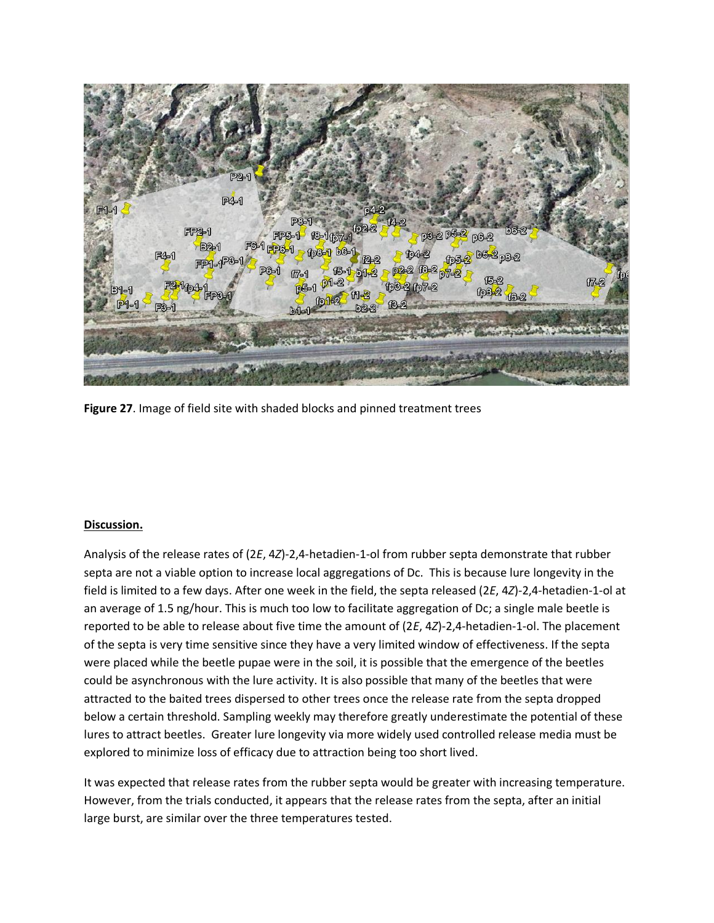

**Figure 27**. Image of field site with shaded blocks and pinned treatment trees

## **Discussion.**

Analysis of the release rates of (2*E*, 4*Z*)-2,4-hetadien-1-ol from rubber septa demonstrate that rubber septa are not a viable option to increase local aggregations of Dc. This is because lure longevity in the field is limited to a few days. After one week in the field, the septa released (2*E*, 4*Z*)-2,4-hetadien-1-ol at an average of 1.5 ng/hour. This is much too low to facilitate aggregation of Dc; a single male beetle is reported to be able to release about five time the amount of (2*E*, 4*Z*)-2,4-hetadien-1-ol. The placement of the septa is very time sensitive since they have a very limited window of effectiveness. If the septa were placed while the beetle pupae were in the soil, it is possible that the emergence of the beetles could be asynchronous with the lure activity. It is also possible that many of the beetles that were attracted to the baited trees dispersed to other trees once the release rate from the septa dropped below a certain threshold. Sampling weekly may therefore greatly underestimate the potential of these lures to attract beetles. Greater lure longevity via more widely used controlled release media must be explored to minimize loss of efficacy due to attraction being too short lived.

It was expected that release rates from the rubber septa would be greater with increasing temperature. However, from the trials conducted, it appears that the release rates from the septa, after an initial large burst, are similar over the three temperatures tested.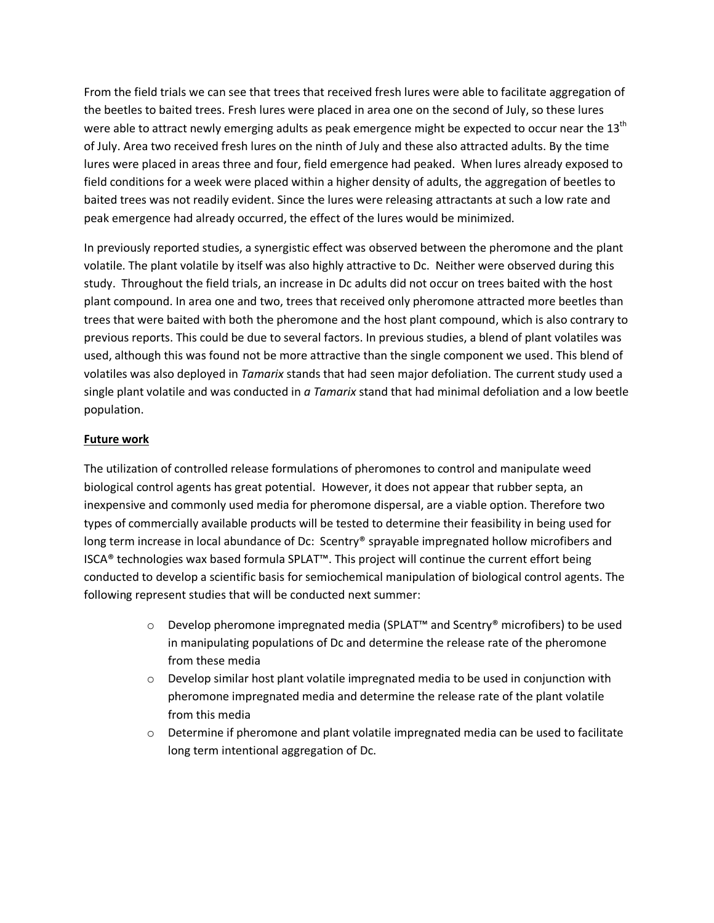From the field trials we can see that trees that received fresh lures were able to facilitate aggregation of the beetles to baited trees. Fresh lures were placed in area one on the second of July, so these lures were able to attract newly emerging adults as peak emergence might be expected to occur near the  $13<sup>th</sup>$ of July. Area two received fresh lures on the ninth of July and these also attracted adults. By the time lures were placed in areas three and four, field emergence had peaked. When lures already exposed to field conditions for a week were placed within a higher density of adults, the aggregation of beetles to baited trees was not readily evident. Since the lures were releasing attractants at such a low rate and peak emergence had already occurred, the effect of the lures would be minimized.

In previously reported studies, a synergistic effect was observed between the pheromone and the plant volatile. The plant volatile by itself was also highly attractive to Dc. Neither were observed during this study. Throughout the field trials, an increase in Dc adults did not occur on trees baited with the host plant compound. In area one and two, trees that received only pheromone attracted more beetles than trees that were baited with both the pheromone and the host plant compound, which is also contrary to previous reports. This could be due to several factors. In previous studies, a blend of plant volatiles was used, although this was found not be more attractive than the single component we used. This blend of volatiles was also deployed in *Tamarix* stands that had seen major defoliation. The current study used a single plant volatile and was conducted in *a Tamarix* stand that had minimal defoliation and a low beetle population.

# **Future work**

The utilization of controlled release formulations of pheromones to control and manipulate weed biological control agents has great potential. However, it does not appear that rubber septa, an inexpensive and commonly used media for pheromone dispersal, are a viable option. Therefore two types of commercially available products will be tested to determine their feasibility in being used for long term increase in local abundance of Dc: Scentry® sprayable impregnated hollow microfibers and ISCA® technologies wax based formula SPLAT™. This project will continue the current effort being conducted to develop a scientific basis for semiochemical manipulation of biological control agents. The following represent studies that will be conducted next summer:

- o Develop pheromone impregnated media (SPLAT™ and Scentry® microfibers) to be used in manipulating populations of Dc and determine the release rate of the pheromone from these media
- $\circ$  Develop similar host plant volatile impregnated media to be used in conjunction with pheromone impregnated media and determine the release rate of the plant volatile from this media
- $\circ$  Determine if pheromone and plant volatile impregnated media can be used to facilitate long term intentional aggregation of Dc.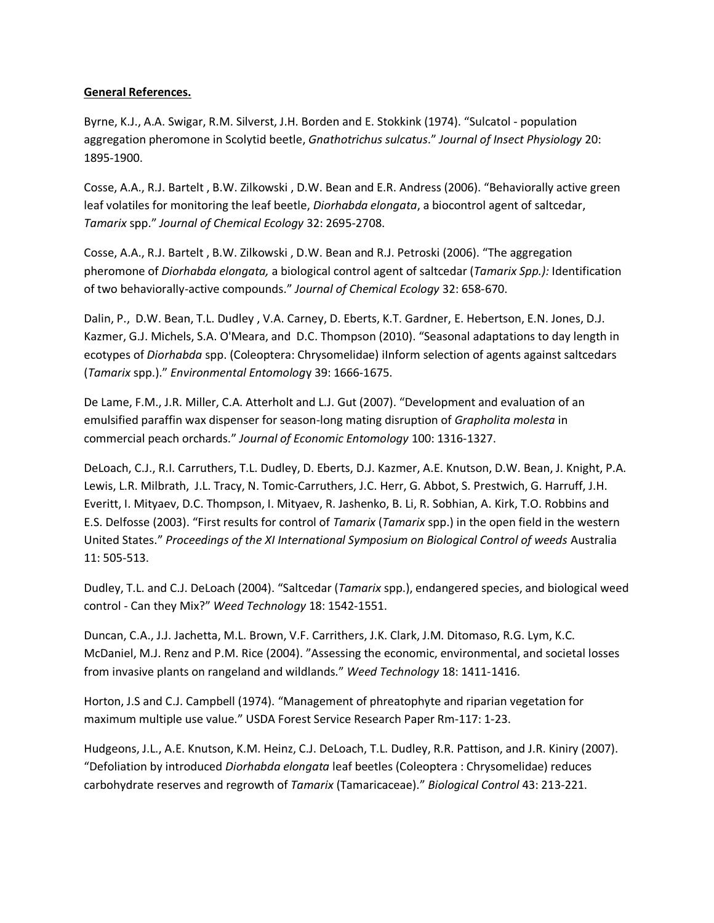## **General References.**

Byrne, K.J., A.A. Swigar, R.M. Silverst, J.H. Borden and E. Stokkink (1974). "Sulcatol - population aggregation pheromone in Scolytid beetle, *Gnathotrichus sulcatus*." *Journal of Insect Physiology* 20: 1895-1900.

Cosse, A.A., R.J. Bartelt , B.W. Zilkowski , D.W. Bean and E.R. Andress (2006). "Behaviorally active green leaf volatiles for monitoring the leaf beetle, *Diorhabda elongata*, a biocontrol agent of saltcedar, *Tamarix* spp." *Journal of Chemical Ecology* 32: 2695-2708.

Cosse, A.A., R.J. Bartelt , B.W. Zilkowski , D.W. Bean and R.J. Petroski (2006). "The aggregation pheromone of *Diorhabda elongata,* a biological control agent of saltcedar (*Tamarix Spp.):* Identification of two behaviorally-active compounds." *Journal of Chemical Ecology* 32: 658-670.

Dalin, P., D.W. Bean, T.L. Dudley , V.A. Carney, D. Eberts, K.T. Gardner, E. Hebertson, E.N. Jones, D.J. Kazmer, G.J. Michels, S.A. O'Meara, and D.C. Thompson (2010). "Seasonal adaptations to day length in ecotypes of *Diorhabda* spp. (Coleoptera: Chrysomelidae) iInform selection of agents against saltcedars (*Tamarix* spp.)." *Environmental Entomolog*y 39: 1666-1675.

De Lame, F.M., J.R. Miller, C.A. Atterholt and L.J. Gut (2007). "Development and evaluation of an emulsified paraffin wax dispenser for season-long mating disruption of *Grapholita molesta* in commercial peach orchards." *Journal of Economic Entomology* 100: 1316-1327.

DeLoach, C.J., R.I. Carruthers, T.L. Dudley, D. Eberts, D.J. Kazmer, A.E. Knutson, D.W. Bean, J. Knight, P.A. Lewis, L.R. Milbrath, J.L. Tracy, N. Tomic-Carruthers, J.C. Herr, G. Abbot, S. Prestwich, G. Harruff, J.H. Everitt, I. Mityaev, D.C. Thompson, I. Mityaev, R. Jashenko, B. Li, R. Sobhian, A. Kirk, T.O. Robbins and E.S. Delfosse (2003). "First results for control of *Tamarix* (*Tamarix* spp.) in the open field in the western United States." *Proceedings of the XI International Symposium on Biological Control of weeds* Australia 11: 505-513.

Dudley, T.L. and C.J. DeLoach (2004). "Saltcedar (*Tamarix* spp.), endangered species, and biological weed control - Can they Mix?" *Weed Technology* 18: 1542-1551.

Duncan, C.A., J.J. Jachetta, M.L. Brown, V.F. Carrithers, J.K. Clark, J.M. Ditomaso, R.G. Lym, K.C. McDaniel, M.J. Renz and P.M. Rice (2004). "Assessing the economic, environmental, and societal losses from invasive plants on rangeland and wildlands." *Weed Technology* 18: 1411-1416.

Horton, J.S and C.J. Campbell (1974). "Management of phreatophyte and riparian vegetation for maximum multiple use value." USDA Forest Service Research Paper Rm-117: 1-23.

Hudgeons, J.L., A.E. Knutson, K.M. Heinz, C.J. DeLoach, T.L. Dudley, R.R. Pattison, and J.R. Kiniry (2007). "Defoliation by introduced *Diorhabda elongata* leaf beetles (Coleoptera : Chrysomelidae) reduces carbohydrate reserves and regrowth of *Tamarix* (Tamaricaceae)." *Biological Control* 43: 213-221.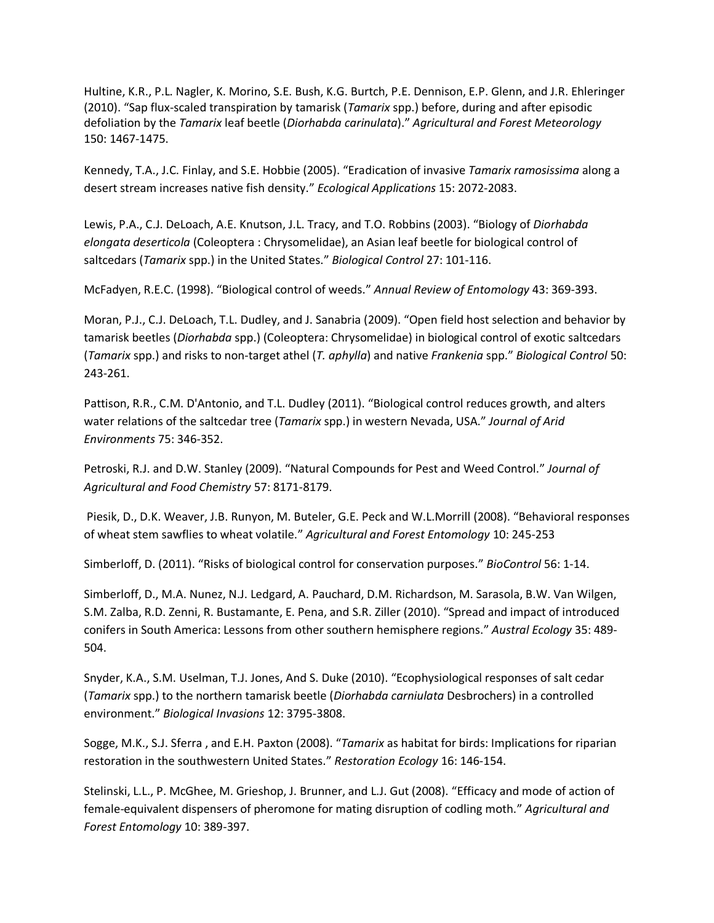Hultine, K.R., P.L. Nagler, K. Morino, S.E. Bush, K.G. Burtch, P.E. Dennison, E.P. Glenn, and J.R. Ehleringer (2010). "Sap flux-scaled transpiration by tamarisk (*Tamarix* spp.) before, during and after episodic defoliation by the *Tamarix* leaf beetle (*Diorhabda carinulata*)." *Agricultural and Forest Meteorology* 150: 1467-1475.

Kennedy, T.A., J.C. Finlay, and S.E. Hobbie (2005). "Eradication of invasive *Tamarix ramosissima* along a desert stream increases native fish density." *Ecological Applications* 15: 2072-2083.

Lewis, P.A., C.J. DeLoach, A.E. Knutson, J.L. Tracy, and T.O. Robbins (2003). "Biology of *Diorhabda elongata deserticola* (Coleoptera : Chrysomelidae), an Asian leaf beetle for biological control of saltcedars (*Tamarix* spp.) in the United States." *Biological Control* 27: 101-116.

McFadyen, R.E.C. (1998). "Biological control of weeds." *Annual Review of Entomology* 43: 369-393.

Moran, P.J., C.J. DeLoach, T.L. Dudley, and J. Sanabria (2009). "Open field host selection and behavior by tamarisk beetles (*Diorhabda* spp.) (Coleoptera: Chrysomelidae) in biological control of exotic saltcedars (*Tamarix* spp.) and risks to non-target athel (*T. aphylla*) and native *Frankenia* spp." *Biological Control* 50: 243-261.

Pattison, R.R., C.M. D'Antonio, and T.L. Dudley (2011). "Biological control reduces growth, and alters water relations of the saltcedar tree (*Tamarix* spp.) in western Nevada, USA." *Journal of Arid Environments* 75: 346-352.

Petroski, R.J. and D.W. Stanley (2009). "Natural Compounds for Pest and Weed Control." *Journal of Agricultural and Food Chemistry* 57: 8171-8179.

Piesik, D., D.K. Weaver, J.B. Runyon, M. Buteler, G.E. Peck and W.L.Morrill (2008). "Behavioral responses of wheat stem sawflies to wheat volatile." *Agricultural and Forest Entomology* 10: 245-253

Simberloff, D. (2011). "Risks of biological control for conservation purposes." *BioControl* 56: 1-14.

Simberloff, D., M.A. Nunez, N.J. Ledgard, A. Pauchard, D.M. Richardson, M. Sarasola, B.W. Van Wilgen, S.M. Zalba, R.D. Zenni, R. Bustamante, E. Pena, and S.R. Ziller (2010). "Spread and impact of introduced conifers in South America: Lessons from other southern hemisphere regions." *Austral Ecology* 35: 489- 504.

Snyder, K.A., S.M. Uselman, T.J. Jones, And S. Duke (2010). "Ecophysiological responses of salt cedar (*Tamarix* spp.) to the northern tamarisk beetle (*Diorhabda carniulata* Desbrochers) in a controlled environment." *Biological Invasions* 12: 3795-3808.

Sogge, M.K., S.J. Sferra , and E.H. Paxton (2008). "*Tamarix* as habitat for birds: Implications for riparian restoration in the southwestern United States." *Restoration Ecology* 16: 146-154.

Stelinski, L.L., P. McGhee, M. Grieshop, J. Brunner, and L.J. Gut (2008). "Efficacy and mode of action of female-equivalent dispensers of pheromone for mating disruption of codling moth." *Agricultural and Forest Entomology* 10: 389-397.